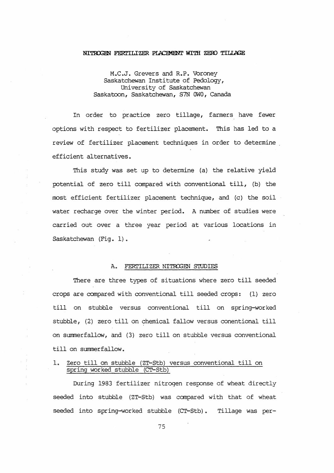#### NITROGEN FERTILIZER PIACEMENT WITH ZERO TILIAGE

M.C.J. Grevers and R.P. Voroney Saskatchewan Institute of Pedology, University of Saskatchewan Saskatoon, Saskatchewan, S7N OWO, canada

In order to practice zero tillage, farmers have fewer options with respect to fertilizer placement. This has led to a review of fertilizer placement techniques in order to determine efficient alternatives.

This study was set up to determine (a) the relative yield potential of zero till canpared with conventional till, (b) the most efficient fertilizer placement technique, and (c) the soil water recharge over the winter period. A number of studies were carried out over a three year period at various locations in Saskatchewan (Fig. 1).

### A. FERI'ILIZER NITRCGEN S'IUDIES

There are three types of situations where zero till seeded crops are compared with conventional till seeded crops: (1) zero till on stubble versus conventional till on spring-worked stubble, (2) zero till on chemical fallow versus conentional till on surnmerfallow, and (3) zero till on stubble versus conventional till on summerfallow.

### 1. Zero till on stubble (ZT-Stb) versus conventional till on spring worked stubble (CT-Stb)

During 1983 fertilizer nitrogen response of wheat directly seeded into stubble {ZT-Stb) was compared with that of wheat seeded into spring-worked stubble (CT-Stb). Tillage was per-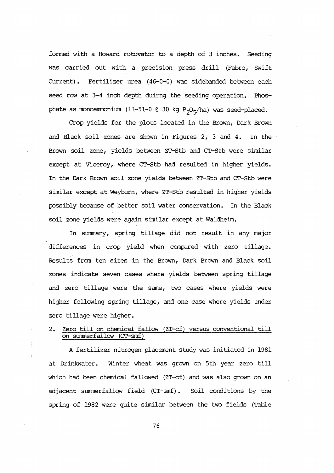formed with a Howard rotovator to a depth of 3 inches. Seeding was carried out with a precision press drill (Fabro, Swift Current). Fertilizer urea (46-0-0) was sidebanded between each seed row at 3-4 inch depth duirng the seeding operation. Phosphate as monoammonium (11-51-0  $(0.30 \text{ kg } P_{20x}/h$ a) was seed-placed.

Crop yields for the plots located in the Brown, Dark Brown and Black soil zones are shown in Figures 2, 3 and 4. In the Brown soil zone, yields between ZT-Stb and CT-Stb were similar except at Viceroy, where CT-Stb had resulted in higher yields. In the Dark Brown soil zone yields between ZT-Stb and CT-Stb were similar except at Weyburn, where ZT-Stb resulted in higher yields possibly because of better soil water conservation. In the Black soil zone yields were again similar except at Waldheim.

In summary, spring tillage did not result in any major differences in crop yield when compared with zero tillage. Results fran ten sites in the Brown, Dark Brown and Black soil zones indicate seven cases where yields between spring tillage and zero tillage were the same, two cases where yields were higher following spring tillage, and one case where yields under zero tillage were higher.

# 2. Zero till on chemical fallow (ZT-cf) versus conventional till on summerfallow (CT-smf)

A fertilizer nitrogen placement study was initiated in 1981 at Drinkwater. Winter wheat was grown on 5th year zero till which had been chemical fallowed (ZT-cf) and was also grown on an adjacent summerfallow field (CT-smf). Soil conditions by the spring of 1982 were quite similar between the two fields {Table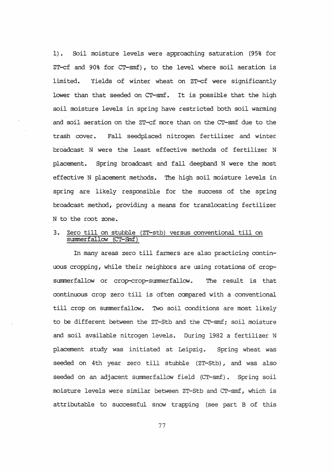1). Soil moisture levels were approaching saturation (95% for ZT-cf and 90% for CT-smf), to the level where soil aeration is limited. Yields of winter wheat on ZT-cf were significantly lower than that seeded on CT-smf. It is possible that the high soil moisture levels in spring have restricted both soil warming and soil aeration on the ZT-cf more than on the CT-smf due to the trash cover. Fall seedplaced nitrogen fertilizer and winter broadcast N were the least effective methods of fertilizer N placement. Spring broadcast and fall deepband N were the most effective N placement methods. The high soil moisture levels in spring are likely responsible for the success of the spring broadcast method, providing a means for translocating fertilizer N to the root zone.

## 3. Zero till on stubble (ZT-stb) versus conventional till on summer fallow (CT-Snf)

In many areas zero till farmers are also practicing continuous cropping, while their neighbors are using rotations of cropsummerfallow or crop-crop-summerfallow. The result is that continuous crop zero till is often compared with a conventional till crop on summerfallow. TWo soil conditions are most likely to be different between the ZT-Stb and the CT-smf; soil moisture and soil available nitrogen levels. During 1982 a fertilizer N placement study was initiated at Leipzig. Spring wheat was seeded on 4th year zero till stubble (ZT-Stb), and was also seeded on an adjacent summerfallow field (CT-smf). Spring soil moisture levels were similar between ZT-Stb and CT-smf, which is attributable to successful snow trapping (see part B of this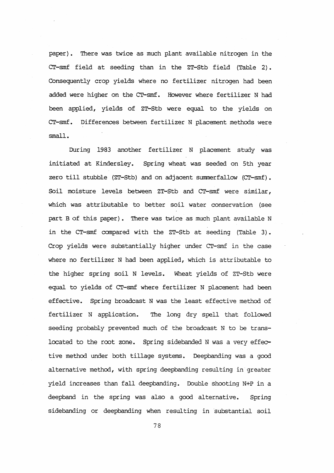paper). There was twice as much plant available nitrogen in the CT-smf field at seeding than in the ZT-Stb field (Table 2) • Consequently crop yields where no fertilizer nitrogen had been added were higher on the CT-smf. However where fertilizer N had been applied, yields of ZT-Stb were equal to the yields on CT-smf. Differences between fertilizer N placement methods were small.

During 1983 another fertilizer N placement study was initiated at Kindersley. Spring wheat was seeded on 5th year zero till stubble (ZT-Stb) and on adjacent summerfallow (CT-smf). Soil moisture levels between ZT-Stb and CT-smf were similar, which was attributable to better soil water conservation (see part B of this paper). There was twice as much plant available N in the CT-smf canpared with the ZT-Stb at seeding (Table 3). Crop yields were substantially higher under CT-smf in the case where no fertilizer N had been applied, which is attributable to the higher spring soil N levels. Wheat yields of ZT-Stb were equal to yields of CT-smf where fertilizer N placement had been effective. Spring broadcast N was the least effective method of fertilizer N application. The long dry spell that followed seeding probably prevented much of the broadcast N to be translocated to the root zone. Spring sidebanded N was a very effective method under both tillage systems. Deepbanding was a good alternative method, with spring deepbanding resulting in greater yield increases than fall deepbanding. Double shooting N+P in a deepband in the spring was also a good alternative. Spring sidebanding or deepbanding when resulting in substantial soil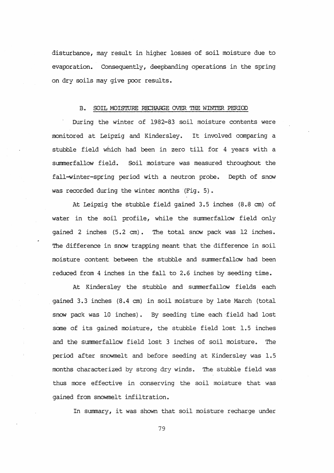disturbance, may result in higher losses of soil moisture due to evaporation. Consequently, deepbanding operations in the spring on dry soils may give poor results.

### B. SOIL MOISTURE RECHARGE OVER THE WINTER PERIOD

During the winter of 1982-83 soil moisture contents were monitored at Leipzig and Kindersley. It involved canparing a stubble field which had been in zero till for 4 years with a summerfallow field. Soil moisture was measured throughout the fall-winter-spring period with a neutron probe. Depth of snow was recorded during the winter months (Fig. 5).

At Leipzig the stubble field gained 3.5 inches (8.8 em) of water in the soil profile, while the summerfallow field only gained 2 inches (5.2 cm). The total snow pack was 12 inches. The difference in snow trapping meant that the difference in soil moisture content between the stubble and stmmerfallow had been reduced from 4 inches in the fall to 2.6 inches by seeding time.

At Kindersley the stubble and summerfallow fields each . gained 3.3 inches (8.4 em) in soil moisture by late March (total snow pack was 10 inches). By seeding time each·field had lost some of its gained moisture, the stubble field lost 1.5 inches and the surnmerfallow field lost 3 inches of soil moisture. The period after snowmelt and before seeding at Kindersley was 1.5 months characterized by strong dry winds. The stubble field was thus more effective in conserving the soil moisture that was gained from snowmelt infiltration.

In summary, it was shown that soil moisture recharge under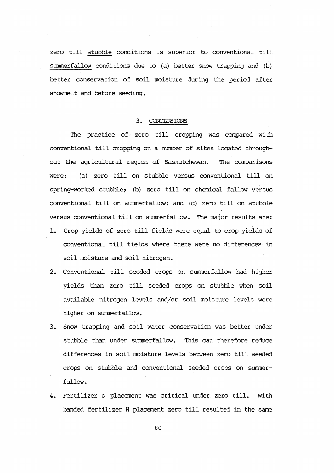zero till stubble conditions is superior to conventional till summerfallow conditions due to (a) better snow trapping and (b) better conservation of soil moisture during the period after snowmelt and before seeding.

### 3. CONCLUSIONS

The practice of zero till cropping was compared with conventional till cropping on a number of sites located throughout the agricultural region of Saskatchewan. The comparisons were: (a) zero till on stubble versus conventional till on spring-worked stubble; (b) zero till on chemical fallow versus conventional till on summerfallow; and (c) zero till on stubble versus conventional till on summerfallow. The major results are: 1. Crop yields of zero till fields were equal to crop yields of conventional till fields where there. were no differences in soil moisture and soil nitrogen.

- 2. Conventional till seeded crops on summerfallow had higher yields than zero till seeded crops on stubble when soil available nitrogen levels and/or soil moisture levels were higher on summerfallow.
- 3. Snow trapping and soil water conservation was better under stubble than under summerfallow. This can therefore reduce differences in soil moisture levels between zero till seeded crops on stubble and conventional seeded crops on summerfallow.
- 4. Fertilizer N placement was critical under zero till. With banded fertilizer N placement zero till resulted in the same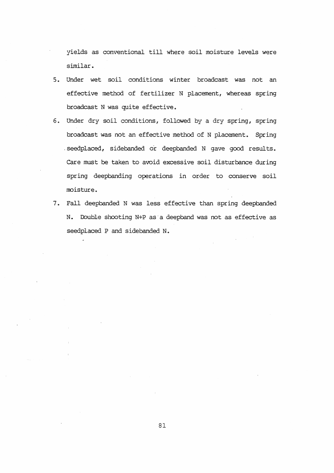yields as conventional till where soil moisture levels were similar.

- 5. Under wet soil conditions winter broadcast was not an effective method of fertilizer N placement, whereas spring broadcast N was quite effective.
- 6. Under dry soil conditions, followed by a dry spring, spring broadcast was not an effective method of N placement. Spring . seedplaced, sidebanded or deepbanded N gave good results. care must be taken to avoid excessive soil disturbance during spring deepbanding operations in order to conserve soil moisture.
- 7. Fall deepbanded N was less effective than spring deepbanded N. Double shooting N+P as a deepband was not as effective as seedplaced P and sidebanded N.

 $\sim 10^{-1}$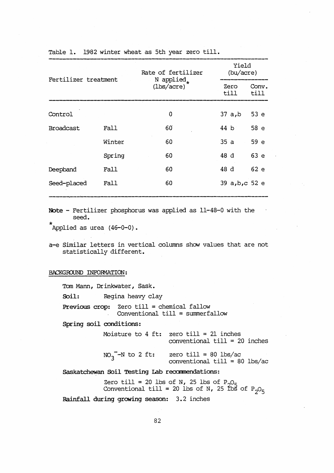| Fertilizer treatment |        | Rate of fertilizer<br>N applied.<br>$(\frac{1}{5} \cdot \frac{1}{2})$ | Yield<br>(bu/acre) |               |
|----------------------|--------|-----------------------------------------------------------------------|--------------------|---------------|
|                      |        |                                                                       | Zero<br>till       | Conv.<br>till |
| Control              |        | $\Omega$                                                              | $37$ a,b           | 53e           |
| <b>Broadcast</b>     | Fall   | 60                                                                    | 44 b               | 58e           |
|                      | Winter | 60                                                                    | 35a                | 59e           |
|                      | Spring | 60                                                                    | 48 d               | 63e           |
| Deepband             | Fall   | 60                                                                    | 48 d               | 62e           |
| Seed-placed          | Fall   | 60                                                                    | 39 a,b,c 52 e      |               |
|                      |        |                                                                       |                    |               |

- Note Fertilizer phosphorus was applied as 11-48-0 with the seed.
- $\hat{A}$ pplied as urea  $(46-0-0)$ .
- a-e Similar letters in vertical columns show values that are not statistically different.

BACKGROUND INFORMATION:

Tom Mann, Drinkwater, Sask.

Soil: Regina heavy clay

Previous crop: Zero till = chemical fallow Conventional till = summerfallow

Spring soil conditions:

|  |  | Moisture to $4$ ft: zero till = 21 inches |  |
|--|--|-------------------------------------------|--|
|  |  | conventional $\text{till} = 20$ inches    |  |

 $NO_3$ <sup>--N</sup> to 2 ft: zero till =  $80$  lbs/ac conventional till = 80 lbs/ac

Saskatchewan Soil Testing Lab recommendations:

Zero till = 20 lbs of N, 25 lbs of  $P_2O_5$ Conventional till = 20 lbs of N, 25 tbs of  $P_2O_5$ 

Rainfall during growing season: 3. 2 inches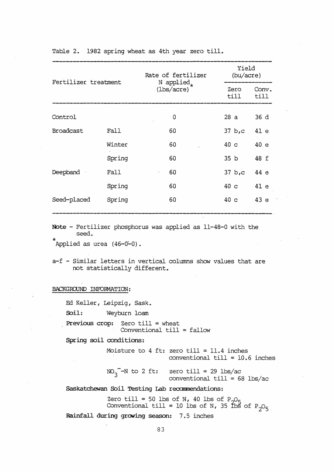| Fertilizer treatment |        | Rate of fertilizer<br>N applied.<br>$(\frac{1}{5})$ | Yield<br>(bu/acre) |               |  |
|----------------------|--------|-----------------------------------------------------|--------------------|---------------|--|
|                      |        |                                                     | Zero<br>till       | Conv.<br>till |  |
| Control              |        | 0                                                   | 28 a               | 36d           |  |
| Broadcast            | Fall   | 60                                                  | $37 bs$ c          | 41e           |  |
|                      | Winter | 60                                                  | 40 <sub>c</sub>    | 40e           |  |
|                      | Spring | 60                                                  | 35 <sub>b</sub>    | 48 f          |  |
| Deepband             | Fall   | 60                                                  | 37 b,c             | 44e           |  |
|                      | Spring | 60                                                  | 40 <sub>c</sub>    | 41e           |  |
| Seed-placed          | Spring | 60                                                  | 40 <sub>c</sub>    | 43e           |  |
|                      |        |                                                     |                    |               |  |

Table 2. 1982 spring wheat as 4th year zero till.

Note - Fertilizer phosphorus was applied as 11-48-0 with the seed.

Applied as urea  $(46-0-0)$ .

a-f - Similar letters in vertical columns show values that are not statistically different.

BACKGROUND INFORMATION:

Ed Keller, Leipzig, Sask.

Soil: Weyburn loam

Previous crop: Zero till = wheat Conventional till = fallow

Spring soil conditions:

Moisture *to* 4 ft: zero till = 11.4 inches conventional till = 10.6 inches

 $NO_3$ <sup>-</sup>N to 2 ft: zero till =  $29$  lbs/ac conventional till = 68 lbs/ac

Saskatchewan Soil Testing Lab recommendations:

Zero till = 50 lbs of N, 40 lbs of  $P_2O_5$ Conventional till = 10 lbs of N, 35 fbs of  $P_2O_5$ 

Rainfall during growing season: 7.5 inches